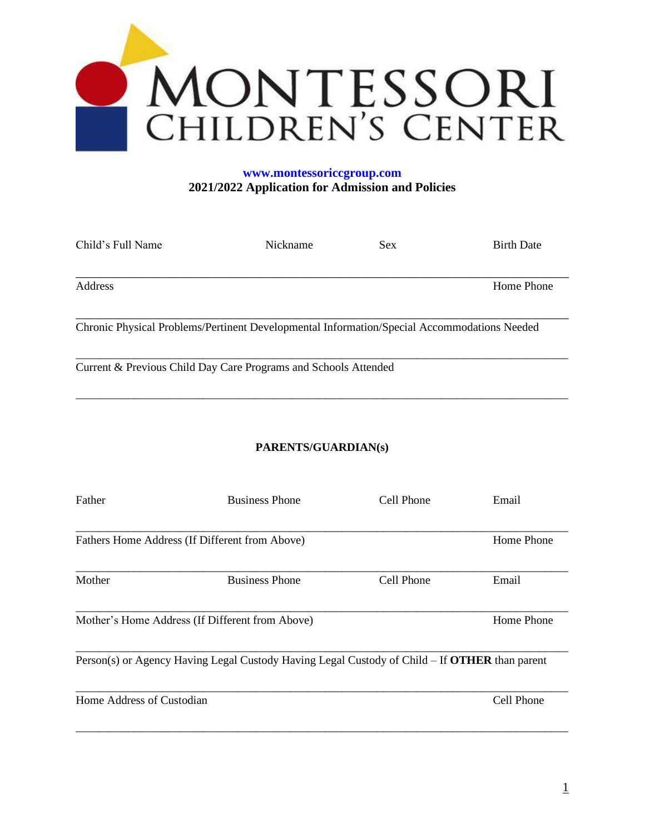

# **[www.montessoriccgroup.com](http://www.montessoriccgroup.com/) 2021/2022 Application for Admission and Policies**

| Child's Full Name                               | Nickname                                                                                             | <b>Sex</b> | <b>Birth Date</b> |
|-------------------------------------------------|------------------------------------------------------------------------------------------------------|------------|-------------------|
| Address                                         |                                                                                                      |            | Home Phone        |
|                                                 | Chronic Physical Problems/Pertinent Developmental Information/Special Accommodations Needed          |            |                   |
|                                                 | Current & Previous Child Day Care Programs and Schools Attended                                      |            |                   |
|                                                 | PARENTS/GUARDIAN(s)                                                                                  |            |                   |
| Father                                          | <b>Business Phone</b>                                                                                | Cell Phone | Email             |
| Fathers Home Address (If Different from Above)  |                                                                                                      |            | Home Phone        |
| Mother                                          | <b>Business Phone</b>                                                                                | Cell Phone | Email             |
| Mother's Home Address (If Different from Above) |                                                                                                      |            | Home Phone        |
|                                                 | Person(s) or Agency Having Legal Custody Having Legal Custody of Child – If <b>OTHER</b> than parent |            |                   |

\_\_\_\_\_\_\_\_\_\_\_\_\_\_\_\_\_\_\_\_\_\_\_\_\_\_\_\_\_\_\_\_\_\_\_\_\_\_\_\_\_\_\_\_\_\_\_\_\_\_\_\_\_\_\_\_\_\_\_\_\_\_\_\_\_\_\_\_\_\_\_\_\_\_\_\_\_\_\_\_\_\_\_\_\_

Home Address of Custodian Cell Phone

\_\_\_\_\_\_\_\_\_\_\_\_\_\_\_\_\_\_\_\_\_\_\_\_\_\_\_\_\_\_\_\_\_\_\_\_\_\_\_\_\_\_\_\_\_\_\_\_\_\_\_\_\_\_\_\_\_\_\_\_\_\_\_\_\_\_\_\_\_\_\_\_\_\_\_\_\_\_\_\_\_\_\_\_\_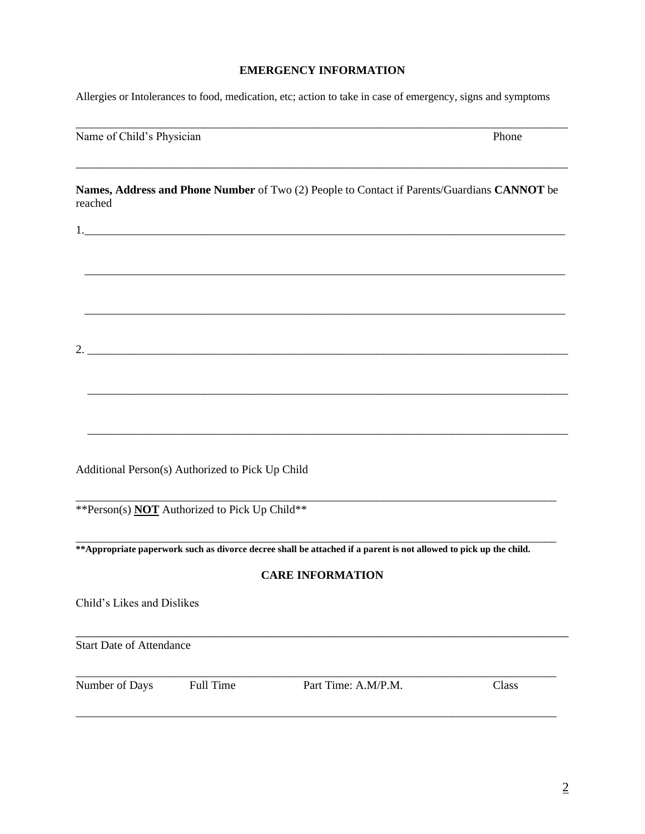## **EMERGENCY INFORMATION**

\_\_\_\_\_\_\_\_\_\_\_\_\_\_\_\_\_\_\_\_\_\_\_\_\_\_\_\_\_\_\_\_\_\_\_\_\_\_\_\_\_\_\_\_\_\_\_\_\_\_\_\_\_\_\_\_\_\_\_\_\_\_\_\_\_\_\_\_\_\_\_\_\_\_\_\_\_\_\_\_\_\_\_\_\_

\_\_\_\_\_\_\_\_\_\_\_\_\_\_\_\_\_\_\_\_\_\_\_\_\_\_\_\_\_\_\_\_\_\_\_\_\_\_\_\_\_\_\_\_\_\_\_\_\_\_\_\_\_\_\_\_\_\_\_\_\_\_\_\_\_\_\_\_\_\_\_\_\_\_\_\_\_\_\_\_\_\_\_\_\_

Allergies or Intolerances to food, medication, etc; action to take in case of emergency, signs and symptoms

Name of Child's Physician Phone

**Names, Address and Phone Number** of Two (2) People to Contact if Parents/Guardians **CANNOT** be reached

\_\_\_\_\_\_\_\_\_\_\_\_\_\_\_\_\_\_\_\_\_\_\_\_\_\_\_\_\_\_\_\_\_\_\_\_\_\_\_\_\_\_\_\_\_\_\_\_\_\_\_\_\_\_\_\_\_\_\_\_\_\_\_\_\_\_\_\_\_\_\_\_\_\_\_\_\_\_\_\_\_\_\_

\_\_\_\_\_\_\_\_\_\_\_\_\_\_\_\_\_\_\_\_\_\_\_\_\_\_\_\_\_\_\_\_\_\_\_\_\_\_\_\_\_\_\_\_\_\_\_\_\_\_\_\_\_\_\_\_\_\_\_\_\_\_\_\_\_\_\_\_\_\_\_\_\_\_\_\_\_\_\_\_\_\_\_

\_\_\_\_\_\_\_\_\_\_\_\_\_\_\_\_\_\_\_\_\_\_\_\_\_\_\_\_\_\_\_\_\_\_\_\_\_\_\_\_\_\_\_\_\_\_\_\_\_\_\_\_\_\_\_\_\_\_\_\_\_\_\_\_\_\_\_\_\_\_\_\_\_\_\_\_\_\_\_\_\_\_\_

Additional Person(s) Authorized to Pick Up Child

\*\*Person(s) **NOT** Authorized to Pick Up Child\*\*

**\*\*Appropriate paperwork such as divorce decree shall be attached if a parent is not allowed to pick up the child.**

## **CARE INFORMATION**

\_\_\_\_\_\_\_\_\_\_\_\_\_\_\_\_\_\_\_\_\_\_\_\_\_\_\_\_\_\_\_\_\_\_\_\_\_\_\_\_\_\_\_\_\_\_\_\_\_\_\_\_\_\_\_\_\_\_\_\_\_\_\_\_\_\_\_\_\_\_\_\_\_\_\_\_\_\_

\_\_\_\_\_\_\_\_\_\_\_\_\_\_\_\_\_\_\_\_\_\_\_\_\_\_\_\_\_\_\_\_\_\_\_\_\_\_\_\_\_\_\_\_\_\_\_\_\_\_\_\_\_\_\_\_\_\_\_\_\_\_\_\_\_\_\_\_\_\_\_\_\_\_\_\_\_\_\_\_\_\_\_

Child's Likes and Dislikes

Start Date of Attendance

\_\_\_\_\_\_\_\_\_\_\_\_\_\_\_\_\_\_\_\_\_\_\_\_\_\_\_\_\_\_\_\_\_\_\_\_\_\_\_\_\_\_\_\_\_\_\_\_\_\_\_\_\_\_\_\_\_\_\_\_\_\_\_\_\_\_\_\_\_\_\_\_\_\_\_\_\_\_\_\_\_\_\_

Number of Days Full Time Part Time: A.M/P.M. Class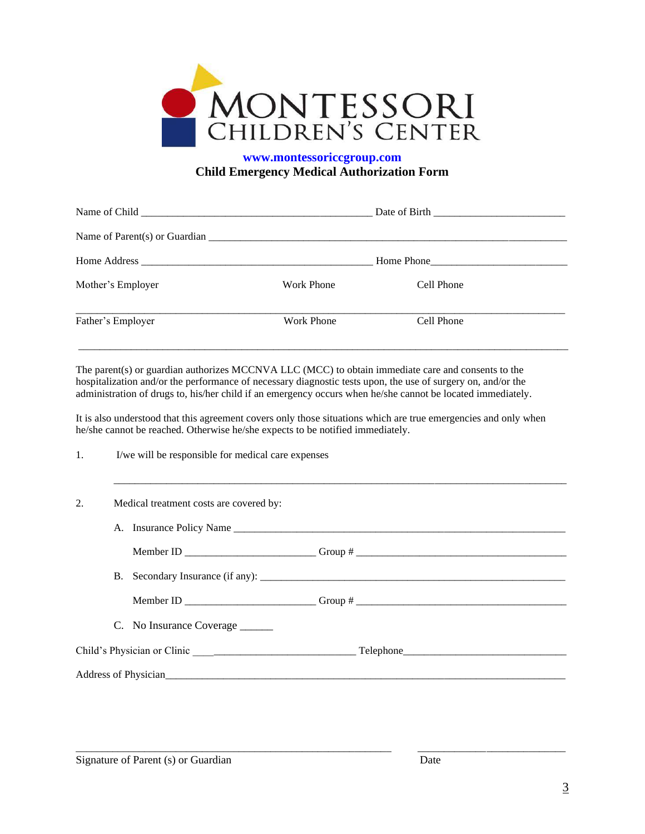

# **[www.montessoriccgroup.com](http://www.montessoriccgroup.com/) Child Emergency Medical Authorization Form**

|                   |                   | Home Phone |  |
|-------------------|-------------------|------------|--|
| Mother's Employer | Work Phone        | Cell Phone |  |
| Father's Employer | <b>Work Phone</b> | Cell Phone |  |
|                   |                   |            |  |

The parent(s) or guardian authorizes MCCNVA LLC (MCC) to obtain immediate care and consents to the hospitalization and/or the performance of necessary diagnostic tests upon, the use of surgery on, and/or the administration of drugs to, his/her child if an emergency occurs when he/she cannot be located immediately.

It is also understood that this agreement covers only those situations which are true emergencies and only when he/she cannot be reached. Otherwise he/she expects to be notified immediately.

\_\_\_\_\_\_\_\_\_\_\_\_\_\_\_\_\_\_\_\_\_\_\_\_\_\_\_\_\_\_\_\_\_\_\_\_\_\_\_\_\_\_\_\_\_\_\_\_\_\_\_\_\_\_\_\_\_\_\_\_\_\_\_\_\_\_\_\_\_\_\_\_\_\_\_\_\_\_\_\_\_\_\_\_\_\_

1. I/we will be responsible for medical care expenses

| 2. | Medical treatment costs are covered by: |                                  |                                                                                   |
|----|-----------------------------------------|----------------------------------|-----------------------------------------------------------------------------------|
|    |                                         | A. Insurance Policy Name         |                                                                                   |
|    |                                         |                                  | Member ID _____________________________Group # __________________________________ |
|    |                                         |                                  |                                                                                   |
|    |                                         |                                  |                                                                                   |
|    |                                         | C. No Insurance Coverage _______ |                                                                                   |
|    |                                         |                                  |                                                                                   |
|    |                                         |                                  |                                                                                   |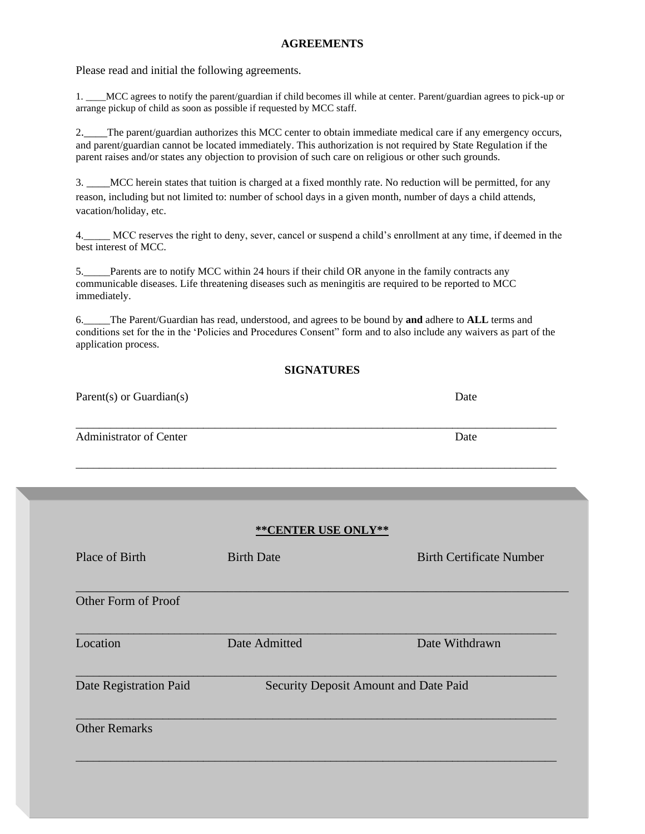### **AGREEMENTS**

Please read and initial the following agreements.

1. \_\_\_\_MCC agrees to notify the parent/guardian if child becomes ill while at center. Parent/guardian agrees to pick-up or arrange pickup of child as soon as possible if requested by MCC staff.

2.\_\_\_\_The parent/guardian authorizes this MCC center to obtain immediate medical care if any emergency occurs, and parent/guardian cannot be located immediately. This authorization is not required by State Regulation if the parent raises and/or states any objection to provision of such care on religious or other such grounds.

3. \_\_\_\_MCC herein states that tuition is charged at a fixed monthly rate. No reduction will be permitted, for any reason, including but not limited to: number of school days in a given month, number of days a child attends, vacation/holiday, etc.

4.\_\_\_\_\_ MCC reserves the right to deny, sever, cancel or suspend a child's enrollment at any time, if deemed in the best interest of MCC.

5.\_\_\_\_\_Parents are to notify MCC within 24 hours if their child OR anyone in the family contracts any communicable diseases. Life threatening diseases such as meningitis are required to be reported to MCC immediately.

6.\_\_\_\_\_The Parent/Guardian has read, understood, and agrees to be bound by **and** adhere to **ALL** terms and conditions set for the in the 'Policies and Procedures Consent" form and to also include any waivers as part of the application process.

## **SIGNATURES**

\_\_\_\_\_\_\_\_\_\_\_\_\_\_\_\_\_\_\_\_\_\_\_\_\_\_\_\_\_\_\_\_\_\_\_\_\_\_\_\_\_\_\_\_\_\_\_\_\_\_\_\_\_\_\_\_\_\_\_\_\_\_\_\_\_\_\_\_\_\_\_\_\_\_\_\_\_\_\_\_\_\_\_

\_\_\_\_\_\_\_\_\_\_\_\_\_\_\_\_\_\_\_\_\_\_\_\_\_\_\_\_\_\_\_\_\_\_\_\_\_\_\_\_\_\_\_\_\_\_\_\_\_\_\_\_\_\_\_\_\_\_\_\_\_\_\_\_\_\_\_\_\_\_\_\_\_\_\_\_\_\_\_\_\_\_\_

Parent(s) or Guardian(s) Date

Administrator of Center Date Date Date Date Date

| Place of Birth         | <b>Birth Date</b>                     | <b>Birth Certificate Number</b> |
|------------------------|---------------------------------------|---------------------------------|
| Other Form of Proof    |                                       |                                 |
| Location               | Date Admitted                         | Date Withdrawn                  |
| Date Registration Paid | Security Deposit Amount and Date Paid |                                 |
| <b>Other Remarks</b>   |                                       |                                 |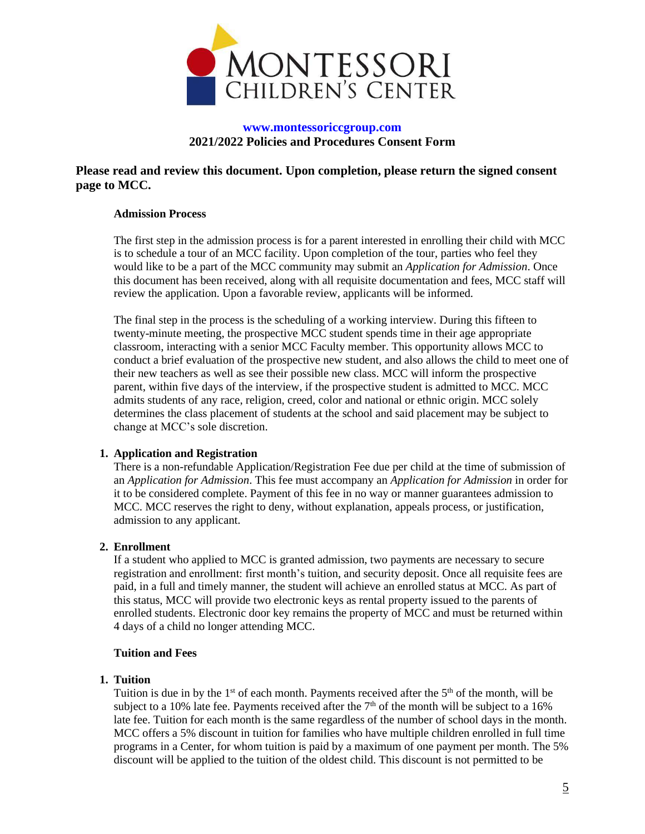

## **[www.montessoriccgroup.com](http://www.montessoriccgroup.com/) 2021/2022 Policies and Procedures Consent Form**

**Please read and review this document. Upon completion, please return the signed consent page to MCC.**

### **Admission Process**

The first step in the admission process is for a parent interested in enrolling their child with MCC is to schedule a tour of an MCC facility. Upon completion of the tour, parties who feel they would like to be a part of the MCC community may submit an *Application for Admission*. Once this document has been received, along with all requisite documentation and fees, MCC staff will review the application. Upon a favorable review, applicants will be informed.

The final step in the process is the scheduling of a working interview. During this fifteen to twenty-minute meeting, the prospective MCC student spends time in their age appropriate classroom, interacting with a senior MCC Faculty member. This opportunity allows MCC to conduct a brief evaluation of the prospective new student, and also allows the child to meet one of their new teachers as well as see their possible new class. MCC will inform the prospective parent, within five days of the interview, if the prospective student is admitted to MCC. MCC admits students of any race, religion, creed, color and national or ethnic origin. MCC solely determines the class placement of students at the school and said placement may be subject to change at MCC's sole discretion.

### **1. Application and Registration**

There is a non-refundable Application/Registration Fee due per child at the time of submission of an *Application for Admission*. This fee must accompany an *Application for Admission* in order for it to be considered complete. Payment of this fee in no way or manner guarantees admission to MCC. MCC reserves the right to deny, without explanation, appeals process, or justification, admission to any applicant.

### **2. Enrollment**

If a student who applied to MCC is granted admission, two payments are necessary to secure registration and enrollment: first month's tuition, and security deposit. Once all requisite fees are paid, in a full and timely manner, the student will achieve an enrolled status at MCC. As part of this status, MCC will provide two electronic keys as rental property issued to the parents of enrolled students. Electronic door key remains the property of MCC and must be returned within 4 days of a child no longer attending MCC.

### **Tuition and Fees**

### **1. Tuition**

Tuition is due in by the  $1<sup>st</sup>$  of each month. Payments received after the  $5<sup>th</sup>$  of the month, will be subject to a 10% late fee. Payments received after the  $7<sup>th</sup>$  of the month will be subject to a 16% late fee. Tuition for each month is the same regardless of the number of school days in the month. MCC offers a 5% discount in tuition for families who have multiple children enrolled in full time programs in a Center, for whom tuition is paid by a maximum of one payment per month. The 5% discount will be applied to the tuition of the oldest child. This discount is not permitted to be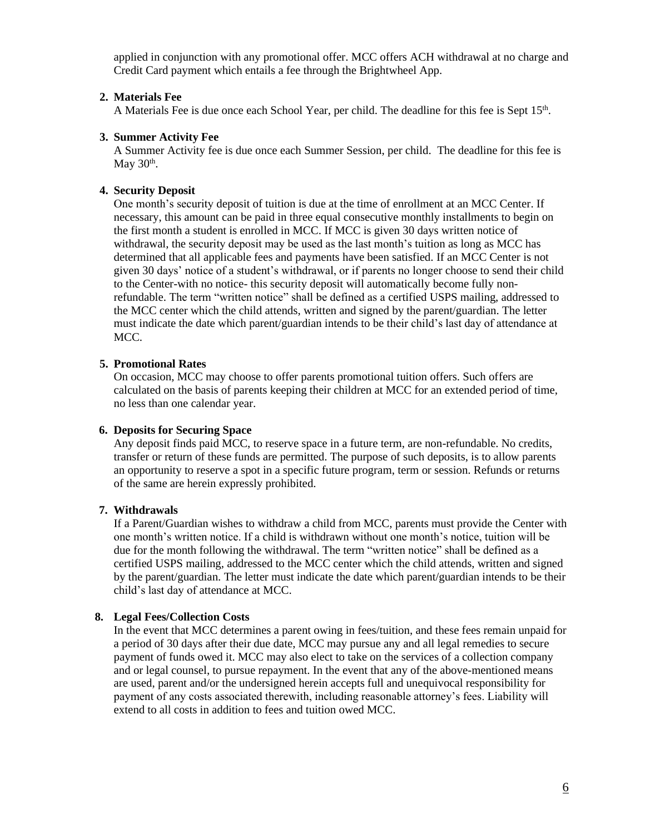applied in conjunction with any promotional offer. MCC offers ACH withdrawal at no charge and Credit Card payment which entails a fee through the Brightwheel App.

#### **2. Materials Fee**

A Materials Fee is due once each School Year, per child. The deadline for this fee is Sept 15<sup>th</sup>.

#### **3. Summer Activity Fee**

A Summer Activity fee is due once each Summer Session, per child. The deadline for this fee is May  $30<sup>th</sup>$ .

### **4. Security Deposit**

One month's security deposit of tuition is due at the time of enrollment at an MCC Center. If necessary, this amount can be paid in three equal consecutive monthly installments to begin on the first month a student is enrolled in MCC. If MCC is given 30 days written notice of withdrawal, the security deposit may be used as the last month's tuition as long as MCC has determined that all applicable fees and payments have been satisfied. If an MCC Center is not given 30 days' notice of a student's withdrawal, or if parents no longer choose to send their child to the Center-with no notice- this security deposit will automatically become fully nonrefundable. The term "written notice" shall be defined as a certified USPS mailing, addressed to the MCC center which the child attends, written and signed by the parent/guardian. The letter must indicate the date which parent/guardian intends to be their child's last day of attendance at MCC.

#### **5. Promotional Rates**

On occasion, MCC may choose to offer parents promotional tuition offers. Such offers are calculated on the basis of parents keeping their children at MCC for an extended period of time, no less than one calendar year.

#### **6. Deposits for Securing Space**

Any deposit finds paid MCC, to reserve space in a future term, are non-refundable. No credits, transfer or return of these funds are permitted. The purpose of such deposits, is to allow parents an opportunity to reserve a spot in a specific future program, term or session. Refunds or returns of the same are herein expressly prohibited.

#### **7. Withdrawals**

If a Parent/Guardian wishes to withdraw a child from MCC, parents must provide the Center with one month's written notice. If a child is withdrawn without one month's notice, tuition will be due for the month following the withdrawal. The term "written notice" shall be defined as a certified USPS mailing, addressed to the MCC center which the child attends, written and signed by the parent/guardian. The letter must indicate the date which parent/guardian intends to be their child's last day of attendance at MCC.

#### **8. Legal Fees/Collection Costs**

In the event that MCC determines a parent owing in fees/tuition, and these fees remain unpaid for a period of 30 days after their due date, MCC may pursue any and all legal remedies to secure payment of funds owed it. MCC may also elect to take on the services of a collection company and or legal counsel, to pursue repayment. In the event that any of the above-mentioned means are used, parent and/or the undersigned herein accepts full and unequivocal responsibility for payment of any costs associated therewith, including reasonable attorney's fees. Liability will extend to all costs in addition to fees and tuition owed MCC.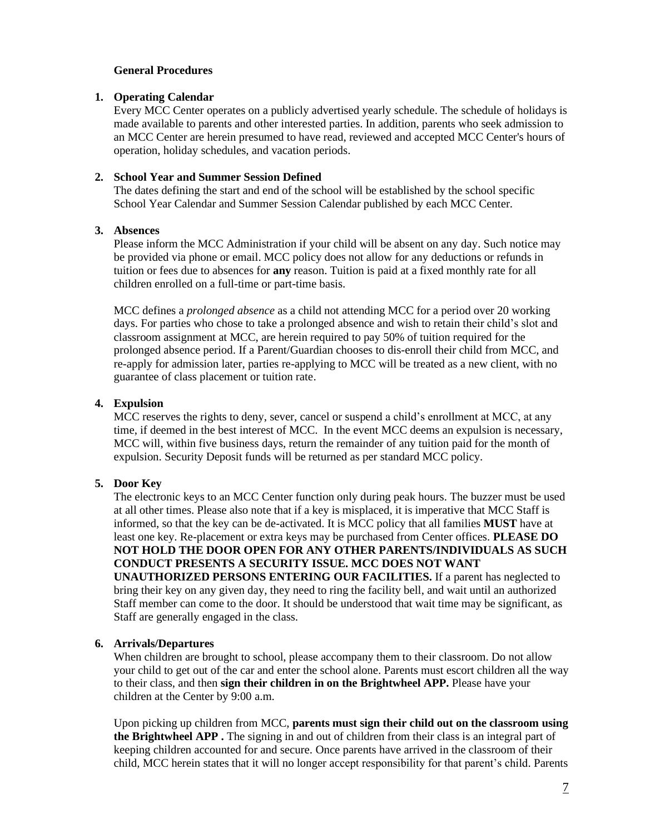## **General Procedures**

### **1. Operating Calendar**

Every MCC Center operates on a publicly advertised yearly schedule. The schedule of holidays is made available to parents and other interested parties. In addition, parents who seek admission to an MCC Center are herein presumed to have read, reviewed and accepted MCC Center's hours of operation, holiday schedules, and vacation periods.

## **2. School Year and Summer Session Defined**

The dates defining the start and end of the school will be established by the school specific School Year Calendar and Summer Session Calendar published by each MCC Center.

## **3. Absences**

Please inform the MCC Administration if your child will be absent on any day. Such notice may be provided via phone or email. MCC policy does not allow for any deductions or refunds in tuition or fees due to absences for **any** reason. Tuition is paid at a fixed monthly rate for all children enrolled on a full-time or part-time basis.

MCC defines a *prolonged absence* as a child not attending MCC for a period over 20 working days. For parties who chose to take a prolonged absence and wish to retain their child's slot and classroom assignment at MCC, are herein required to pay 50% of tuition required for the prolonged absence period. If a Parent/Guardian chooses to dis-enroll their child from MCC, and re-apply for admission later, parties re-applying to MCC will be treated as a new client, with no guarantee of class placement or tuition rate.

## **4. Expulsion**

MCC reserves the rights to deny, sever, cancel or suspend a child's enrollment at MCC, at any time, if deemed in the best interest of MCC. In the event MCC deems an expulsion is necessary, MCC will, within five business days, return the remainder of any tuition paid for the month of expulsion. Security Deposit funds will be returned as per standard MCC policy.

## **5. Door Key**

The electronic keys to an MCC Center function only during peak hours. The buzzer must be used at all other times. Please also note that if a key is misplaced, it is imperative that MCC Staff is informed, so that the key can be de-activated. It is MCC policy that all families **MUST** have at least one key. Re-placement or extra keys may be purchased from Center offices. **PLEASE DO NOT HOLD THE DOOR OPEN FOR ANY OTHER PARENTS/INDIVIDUALS AS SUCH CONDUCT PRESENTS A SECURITY ISSUE. MCC DOES NOT WANT UNAUTHORIZED PERSONS ENTERING OUR FACILITIES.** If a parent has neglected to bring their key on any given day, they need to ring the facility bell, and wait until an authorized Staff member can come to the door. It should be understood that wait time may be significant, as Staff are generally engaged in the class.

### **6. Arrivals/Departures**

When children are brought to school, please accompany them to their classroom. Do not allow your child to get out of the car and enter the school alone. Parents must escort children all the way to their class, and then **sign their children in on the Brightwheel APP.** Please have your children at the Center by 9:00 a.m.

Upon picking up children from MCC, **parents must sign their child out on the classroom using the Brightwheel APP .** The signing in and out of children from their class is an integral part of keeping children accounted for and secure. Once parents have arrived in the classroom of their child, MCC herein states that it will no longer accept responsibility for that parent's child. Parents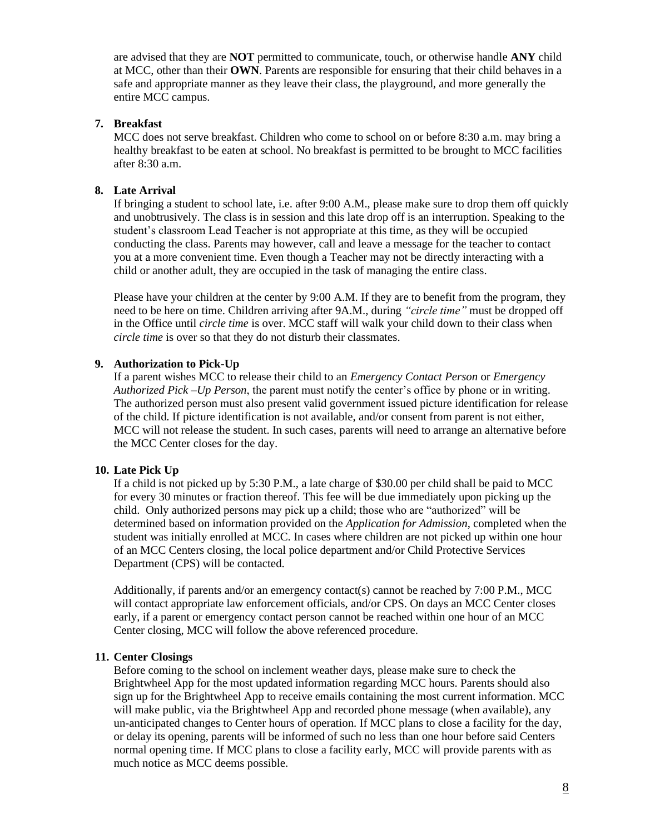are advised that they are **NOT** permitted to communicate, touch, or otherwise handle **ANY** child at MCC, other than their **OWN**. Parents are responsible for ensuring that their child behaves in a safe and appropriate manner as they leave their class, the playground, and more generally the entire MCC campus.

## **7. Breakfast**

MCC does not serve breakfast. Children who come to school on or before 8:30 a.m. may bring a healthy breakfast to be eaten at school. No breakfast is permitted to be brought to MCC facilities after 8:30 a.m.

## **8. Late Arrival**

If bringing a student to school late, i.e. after 9:00 A.M., please make sure to drop them off quickly and unobtrusively. The class is in session and this late drop off is an interruption. Speaking to the student's classroom Lead Teacher is not appropriate at this time, as they will be occupied conducting the class. Parents may however, call and leave a message for the teacher to contact you at a more convenient time. Even though a Teacher may not be directly interacting with a child or another adult, they are occupied in the task of managing the entire class.

Please have your children at the center by 9:00 A.M. If they are to benefit from the program, they need to be here on time. Children arriving after 9A.M., during *"circle time"* must be dropped off in the Office until *circle time* is over. MCC staff will walk your child down to their class when *circle time* is over so that they do not disturb their classmates.

## **9. Authorization to Pick-Up**

If a parent wishes MCC to release their child to an *Emergency Contact Person* or *Emergency Authorized Pick –Up Person*, the parent must notify the center's office by phone or in writing. The authorized person must also present valid government issued picture identification for release of the child. If picture identification is not available, and/or consent from parent is not either, MCC will not release the student. In such cases, parents will need to arrange an alternative before the MCC Center closes for the day.

## **10. Late Pick Up**

If a child is not picked up by 5:30 P.M., a late charge of \$30.00 per child shall be paid to MCC for every 30 minutes or fraction thereof. This fee will be due immediately upon picking up the child. Only authorized persons may pick up a child; those who are "authorized" will be determined based on information provided on the *Application for Admission*, completed when the student was initially enrolled at MCC. In cases where children are not picked up within one hour of an MCC Centers closing, the local police department and/or Child Protective Services Department (CPS) will be contacted.

Additionally, if parents and/or an emergency contact(s) cannot be reached by 7:00 P.M., MCC will contact appropriate law enforcement officials, and/or CPS. On days an MCC Center closes early, if a parent or emergency contact person cannot be reached within one hour of an MCC Center closing, MCC will follow the above referenced procedure.

### **11. Center Closings**

Before coming to the school on inclement weather days, please make sure to check the Brightwheel App for the most updated information regarding MCC hours. Parents should also sign up for the Brightwheel App to receive emails containing the most current information. MCC will make public, via the Brightwheel App and recorded phone message (when available), any un-anticipated changes to Center hours of operation. If MCC plans to close a facility for the day, or delay its opening, parents will be informed of such no less than one hour before said Centers normal opening time. If MCC plans to close a facility early, MCC will provide parents with as much notice as MCC deems possible.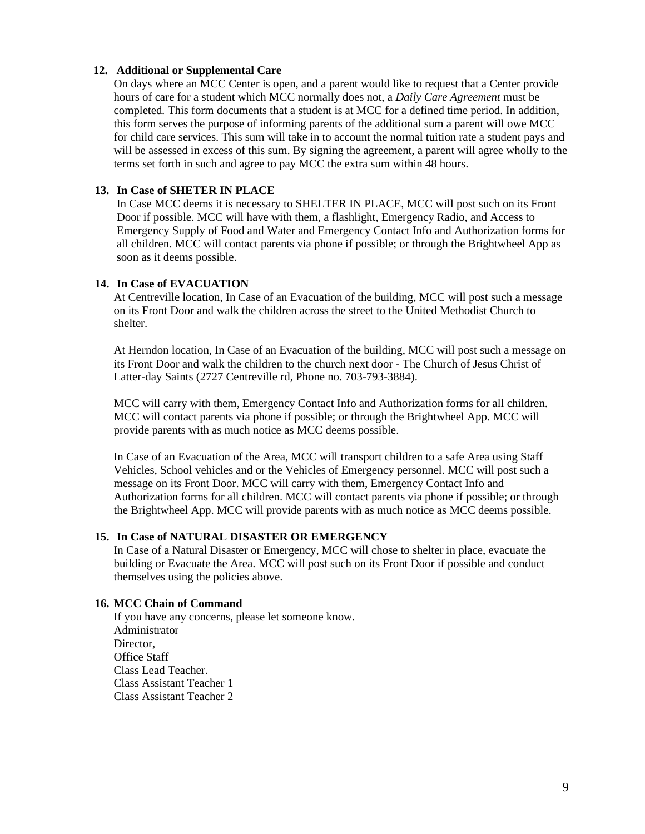#### **12. Additional or Supplemental Care**

On days where an MCC Center is open, and a parent would like to request that a Center provide hours of care for a student which MCC normally does not, a *Daily Care Agreement* must be completed*.* This form documents that a student is at MCC for a defined time period. In addition, this form serves the purpose of informing parents of the additional sum a parent will owe MCC for child care services. This sum will take in to account the normal tuition rate a student pays and will be assessed in excess of this sum. By signing the agreement, a parent will agree wholly to the terms set forth in such and agree to pay MCC the extra sum within 48 hours.

### **13. In Case of SHETER IN PLACE**

In Case MCC deems it is necessary to SHELTER IN PLACE, MCC will post such on its Front Door if possible. MCC will have with them, a flashlight, Emergency Radio, and Access to Emergency Supply of Food and Water and Emergency Contact Info and Authorization forms for all children. MCC will contact parents via phone if possible; or through the Brightwheel App as soon as it deems possible.

### **14. In Case of EVACUATION**

At Centreville location, In Case of an Evacuation of the building, MCC will post such a message on its Front Door and walk the children across the street to the United Methodist Church to shelter.

At Herndon location, In Case of an Evacuation of the building, MCC will post such a message on its Front Door and walk the children to the church next door - The Church of Jesus Christ of Latter-day Saints (2727 Centreville rd, Phone no. 703-793-3884).

MCC will carry with them, Emergency Contact Info and Authorization forms for all children. MCC will contact parents via phone if possible; or through the Brightwheel App. MCC will provide parents with as much notice as MCC deems possible.

In Case of an Evacuation of the Area, MCC will transport children to a safe Area using Staff Vehicles, School vehicles and or the Vehicles of Emergency personnel. MCC will post such a message on its Front Door. MCC will carry with them, Emergency Contact Info and Authorization forms for all children. MCC will contact parents via phone if possible; or through the Brightwheel App. MCC will provide parents with as much notice as MCC deems possible.

## **15. In Case of NATURAL DISASTER OR EMERGENCY**

In Case of a Natural Disaster or Emergency, MCC will chose to shelter in place, evacuate the building or Evacuate the Area. MCC will post such on its Front Door if possible and conduct themselves using the policies above.

#### **16. MCC Chain of Command**

If you have any concerns, please let someone know. Administrator Director Office Staff Class Lead Teacher. Class Assistant Teacher 1 Class Assistant Teacher 2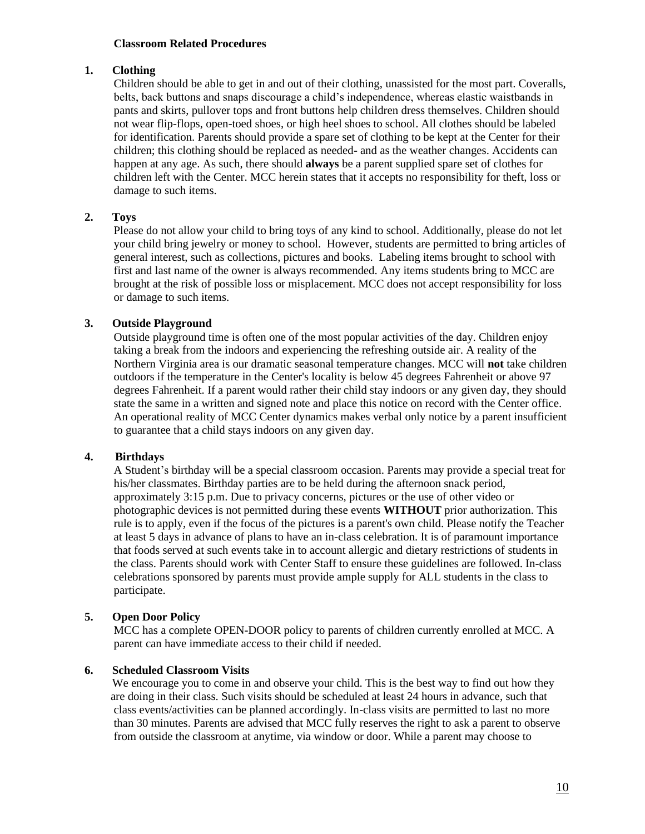### **Classroom Related Procedures**

## **1. Clothing**

Children should be able to get in and out of their clothing, unassisted for the most part. Coveralls, belts, back buttons and snaps discourage a child's independence, whereas elastic waistbands in pants and skirts, pullover tops and front buttons help children dress themselves. Children should not wear flip-flops, open-toed shoes, or high heel shoes to school. All clothes should be labeled for identification. Parents should provide a spare set of clothing to be kept at the Center for their children; this clothing should be replaced as needed- and as the weather changes. Accidents can happen at any age. As such, there should **always** be a parent supplied spare set of clothes for children left with the Center. MCC herein states that it accepts no responsibility for theft, loss or damage to such items.

## **2. Toys**

Please do not allow your child to bring toys of any kind to school. Additionally, please do not let your child bring jewelry or money to school. However, students are permitted to bring articles of general interest, such as collections, pictures and books. Labeling items brought to school with first and last name of the owner is always recommended. Any items students bring to MCC are brought at the risk of possible loss or misplacement. MCC does not accept responsibility for loss or damage to such items.

## **3. Outside Playground**

Outside playground time is often one of the most popular activities of the day. Children enjoy taking a break from the indoors and experiencing the refreshing outside air. A reality of the Northern Virginia area is our dramatic seasonal temperature changes. MCC will **not** take children outdoors if the temperature in the Center's locality is below 45 degrees Fahrenheit or above 97 degrees Fahrenheit. If a parent would rather their child stay indoors or any given day, they should state the same in a written and signed note and place this notice on record with the Center office. An operational reality of MCC Center dynamics makes verbal only notice by a parent insufficient to guarantee that a child stays indoors on any given day.

### **4. Birthdays**

A Student's birthday will be a special classroom occasion. Parents may provide a special treat for his/her classmates. Birthday parties are to be held during the afternoon snack period, approximately 3:15 p.m. Due to privacy concerns, pictures or the use of other video or photographic devices is not permitted during these events **WITHOUT** prior authorization. This rule is to apply, even if the focus of the pictures is a parent's own child. Please notify the Teacher at least 5 days in advance of plans to have an in-class celebration. It is of paramount importance that foods served at such events take in to account allergic and dietary restrictions of students in the class. Parents should work with Center Staff to ensure these guidelines are followed. In-class celebrations sponsored by parents must provide ample supply for ALL students in the class to participate.

## **5. Open Door Policy**

MCC has a complete OPEN-DOOR policy to parents of children currently enrolled at MCC. A parent can have immediate access to their child if needed.

### **6. Scheduled Classroom Visits**

We encourage you to come in and observe your child. This is the best way to find out how they are doing in their class. Such visits should be scheduled at least 24 hours in advance, such that class events/activities can be planned accordingly. In-class visits are permitted to last no more than 30 minutes. Parents are advised that MCC fully reserves the right to ask a parent to observe from outside the classroom at anytime, via window or door. While a parent may choose to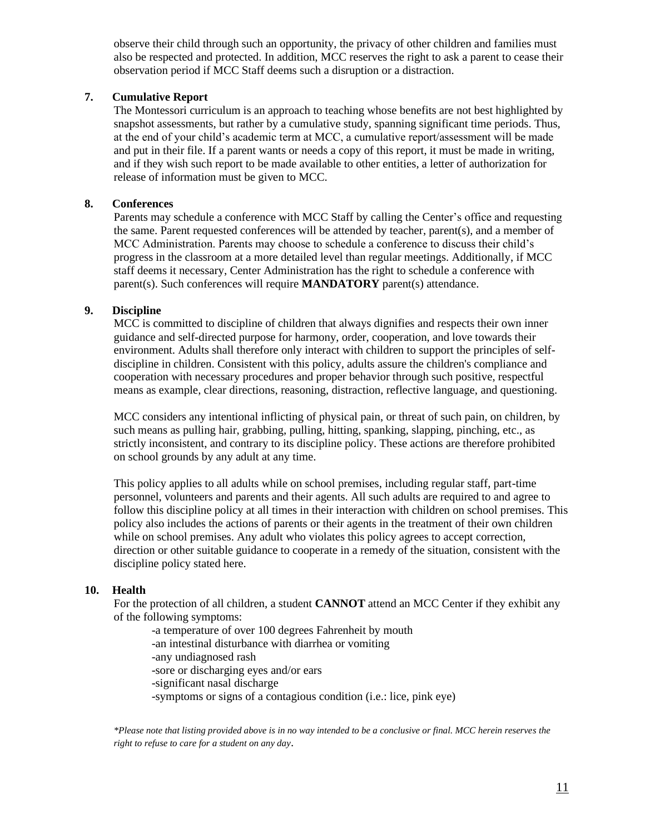observe their child through such an opportunity, the privacy of other children and families must also be respected and protected. In addition, MCC reserves the right to ask a parent to cease their observation period if MCC Staff deems such a disruption or a distraction.

## **7. Cumulative Report**

The Montessori curriculum is an approach to teaching whose benefits are not best highlighted by snapshot assessments, but rather by a cumulative study, spanning significant time periods. Thus, at the end of your child's academic term at MCC, a cumulative report/assessment will be made and put in their file. If a parent wants or needs a copy of this report, it must be made in writing, and if they wish such report to be made available to other entities, a letter of authorization for release of information must be given to MCC.

## **8. Conferences**

Parents may schedule a conference with MCC Staff by calling the Center's office and requesting the same. Parent requested conferences will be attended by teacher, parent(s), and a member of MCC Administration. Parents may choose to schedule a conference to discuss their child's progress in the classroom at a more detailed level than regular meetings. Additionally, if MCC staff deems it necessary, Center Administration has the right to schedule a conference with parent(s). Such conferences will require **MANDATORY** parent(s) attendance.

## **9. Discipline**

MCC is committed to discipline of children that always dignifies and respects their own inner guidance and self-directed purpose for harmony, order, cooperation, and love towards their environment. Adults shall therefore only interact with children to support the principles of selfdiscipline in children. Consistent with this policy, adults assure the children's compliance and cooperation with necessary procedures and proper behavior through such positive, respectful means as example, clear directions, reasoning, distraction, reflective language, and questioning.

MCC considers any intentional inflicting of physical pain, or threat of such pain, on children, by such means as pulling hair, grabbing, pulling, hitting, spanking, slapping, pinching, etc., as strictly inconsistent, and contrary to its discipline policy. These actions are therefore prohibited on school grounds by any adult at any time.

This policy applies to all adults while on school premises, including regular staff, part-time personnel, volunteers and parents and their agents. All such adults are required to and agree to follow this discipline policy at all times in their interaction with children on school premises. This policy also includes the actions of parents or their agents in the treatment of their own children while on school premises. Any adult who violates this policy agrees to accept correction, direction or other suitable guidance to cooperate in a remedy of the situation, consistent with the discipline policy stated here.

### **10. Health**

For the protection of all children, a student **CANNOT** attend an MCC Center if they exhibit any of the following symptoms:

- -a temperature of over 100 degrees Fahrenheit by mouth
- -an intestinal disturbance with diarrhea or vomiting
- -any undiagnosed rash
- -sore or discharging eyes and/or ears
- -significant nasal discharge
- -symptoms or signs of a contagious condition (i.e.: lice, pink eye)

*\*Please note that listing provided above is in no way intended to be a conclusive or final. MCC herein reserves the right to refuse to care for a student on any day*.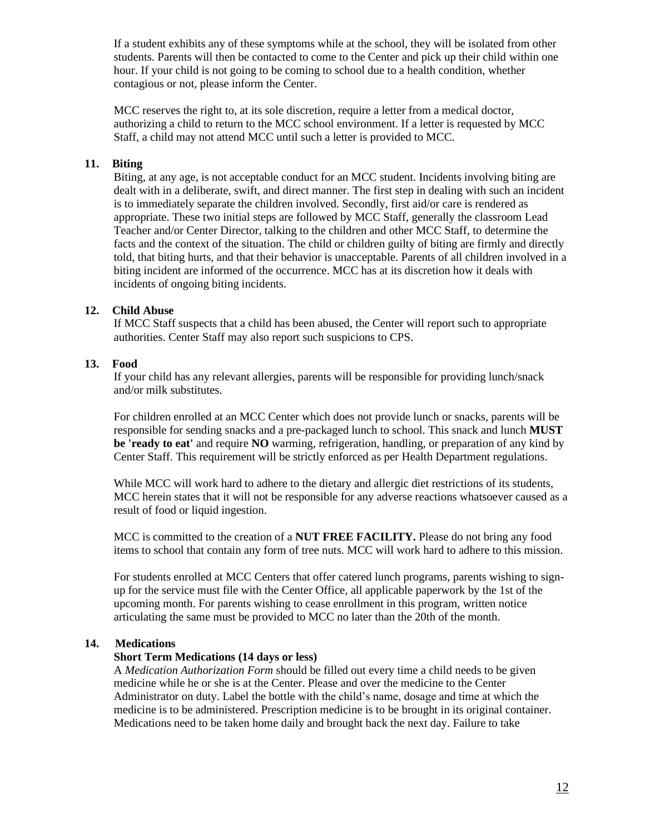If a student exhibits any of these symptoms while at the school, they will be isolated from other students. Parents will then be contacted to come to the Center and pick up their child within one hour. If your child is not going to be coming to school due to a health condition, whether contagious or not, please inform the Center.

MCC reserves the right to, at its sole discretion, require a letter from a medical doctor, authorizing a child to return to the MCC school environment. If a letter is requested by MCC Staff, a child may not attend MCC until such a letter is provided to MCC.

## **11. Biting**

Biting, at any age, is not acceptable conduct for an MCC student. Incidents involving biting are dealt with in a deliberate, swift, and direct manner. The first step in dealing with such an incident is to immediately separate the children involved. Secondly, first aid/or care is rendered as appropriate. These two initial steps are followed by MCC Staff, generally the classroom Lead Teacher and/or Center Director, talking to the children and other MCC Staff, to determine the facts and the context of the situation. The child or children guilty of biting are firmly and directly told, that biting hurts, and that their behavior is unacceptable. Parents of all children involved in a biting incident are informed of the occurrence. MCC has at its discretion how it deals with incidents of ongoing biting incidents.

## **12. Child Abuse**

If MCC Staff suspects that a child has been abused, the Center will report such to appropriate authorities. Center Staff may also report such suspicions to CPS.

## **13. Food**

If your child has any relevant allergies, parents will be responsible for providing lunch/snack and/or milk substitutes.

For children enrolled at an MCC Center which does not provide lunch or snacks, parents will be responsible for sending snacks and a pre-packaged lunch to school. This snack and lunch **MUST be 'ready to eat'** and require **NO** warming, refrigeration, handling, or preparation of any kind by Center Staff. This requirement will be strictly enforced as per Health Department regulations.

While MCC will work hard to adhere to the dietary and allergic diet restrictions of its students, MCC herein states that it will not be responsible for any adverse reactions whatsoever caused as a result of food or liquid ingestion.

MCC is committed to the creation of a **NUT FREE FACILITY.** Please do not bring any food items to school that contain any form of tree nuts. MCC will work hard to adhere to this mission.

For students enrolled at MCC Centers that offer catered lunch programs, parents wishing to signup for the service must file with the Center Office, all applicable paperwork by the 1st of the upcoming month. For parents wishing to cease enrollment in this program, written notice articulating the same must be provided to MCC no later than the 20th of the month.

## **14. Medications**

### **Short Term Medications (14 days or less)**

A *Medication Authorization Form* should be filled out every time a child needs to be given medicine while he or she is at the Center. Please and over the medicine to the Center Administrator on duty. Label the bottle with the child's name, dosage and time at which the medicine is to be administered. Prescription medicine is to be brought in its original container. Medications need to be taken home daily and brought back the next day. Failure to take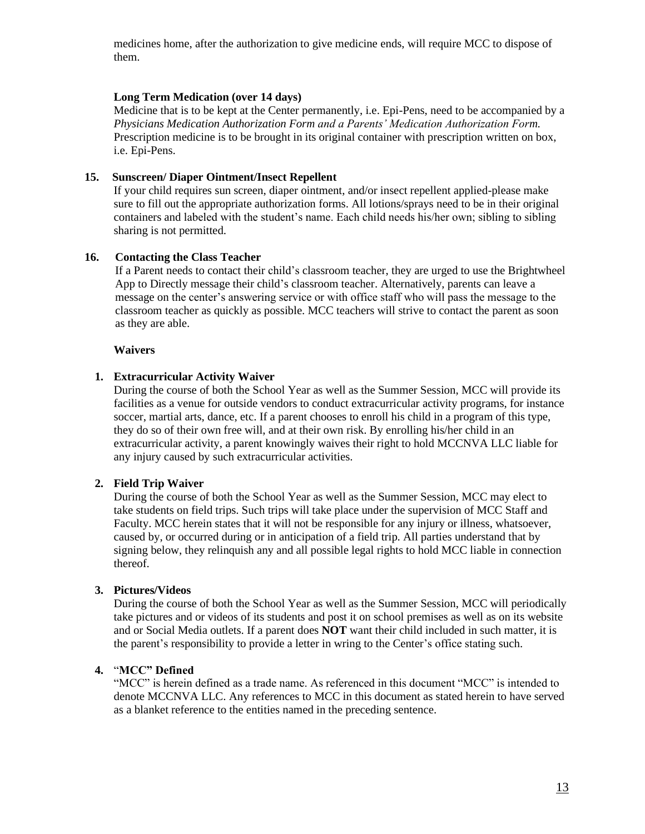medicines home, after the authorization to give medicine ends, will require MCC to dispose of them.

### **Long Term Medication (over 14 days)**

Medicine that is to be kept at the Center permanently, i.e. Epi-Pens, need to be accompanied by a *Physicians Medication Authorization Form and a Parents' Medication Authorization Form.* Prescription medicine is to be brought in its original container with prescription written on box, i.e. Epi-Pens.

## **15. Sunscreen/ Diaper Ointment/Insect Repellent**

If your child requires sun screen, diaper ointment, and/or insect repellent applied-please make sure to fill out the appropriate authorization forms. All lotions/sprays need to be in their original containers and labeled with the student's name. Each child needs his/her own; sibling to sibling sharing is not permitted.

## **16. Contacting the Class Teacher**

 If a Parent needs to contact their child's classroom teacher, they are urged to use the Brightwheel App to Directly message their child's classroom teacher. Alternatively, parents can leave a message on the center's answering service or with office staff who will pass the message to the classroom teacher as quickly as possible. MCC teachers will strive to contact the parent as soon as they are able.

### **Waivers**

## **1. Extracurricular Activity Waiver**

During the course of both the School Year as well as the Summer Session, MCC will provide its facilities as a venue for outside vendors to conduct extracurricular activity programs, for instance soccer, martial arts, dance, etc. If a parent chooses to enroll his child in a program of this type, they do so of their own free will, and at their own risk. By enrolling his/her child in an extracurricular activity, a parent knowingly waives their right to hold MCCNVA LLC liable for any injury caused by such extracurricular activities.

## **2. Field Trip Waiver**

During the course of both the School Year as well as the Summer Session, MCC may elect to take students on field trips. Such trips will take place under the supervision of MCC Staff and Faculty. MCC herein states that it will not be responsible for any injury or illness, whatsoever, caused by, or occurred during or in anticipation of a field trip. All parties understand that by signing below, they relinquish any and all possible legal rights to hold MCC liable in connection thereof.

### **3. Pictures/Videos**

During the course of both the School Year as well as the Summer Session, MCC will periodically take pictures and or videos of its students and post it on school premises as well as on its website and or Social Media outlets. If a parent does **NOT** want their child included in such matter, it is the parent's responsibility to provide a letter in wring to the Center's office stating such.

### **4.** "**MCC" Defined**

"MCC" is herein defined as a trade name. As referenced in this document "MCC" is intended to denote MCCNVA LLC. Any references to MCC in this document as stated herein to have served as a blanket reference to the entities named in the preceding sentence.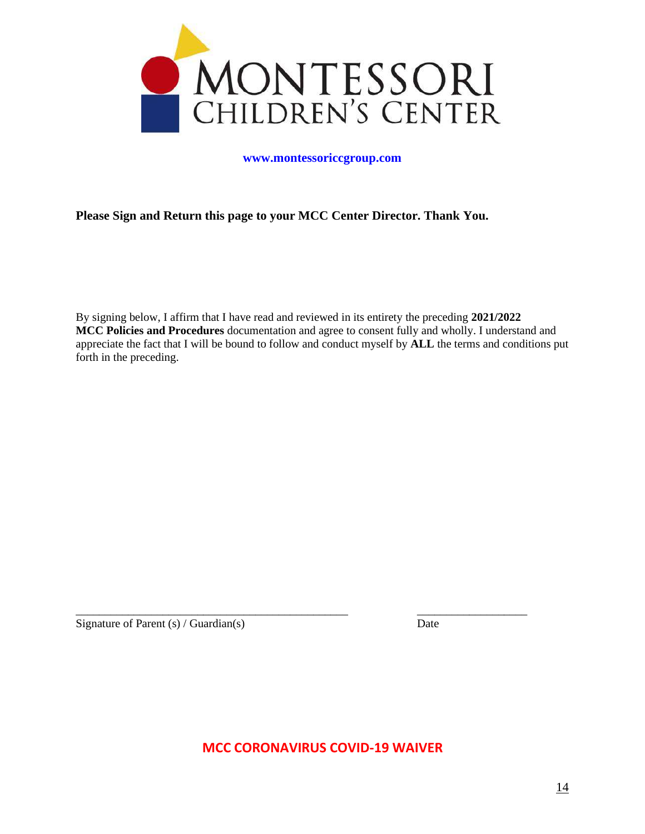

### **[www.montessoriccgroup.com](http://www.montessoriccgroup.com/)**

## **Please Sign and Return this page to your MCC Center Director. Thank You.**

By signing below, I affirm that I have read and reviewed in its entirety the preceding **2021/2022 MCC Policies and Procedures** documentation and agree to consent fully and wholly. I understand and appreciate the fact that I will be bound to follow and conduct myself by **ALL** the terms and conditions put forth in the preceding.

Signature of Parent (s) / Guardian(s) Date

**MCC CORONAVIRUS COVID-19 WAIVER** 

\_\_\_\_\_\_\_\_\_\_\_\_\_\_\_\_\_\_\_\_\_\_\_\_\_\_\_\_\_\_\_\_\_\_\_\_\_\_\_\_\_\_\_\_\_\_\_ \_\_\_\_\_\_\_\_\_\_\_\_\_\_\_\_\_\_\_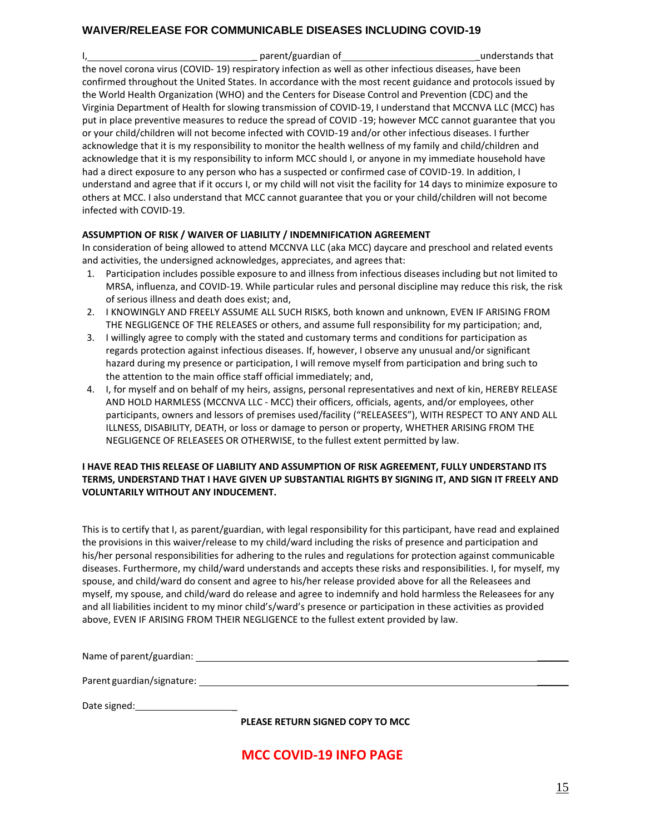## **WAIVER/RELEASE FOR COMMUNICABLE DISEASES INCLUDING COVID-19**

I, 1, 2008 and 1, 2008 and 2018 and 2019 and 2019 and 2019 and 2019 and 2019 and 2019 and 2019 and 2019 and 201 the novel corona virus (COVID- 19) respiratory infection as well as other infectious diseases, have been confirmed throughout the United States. In accordance with the most recent guidance and protocols issued by the World Health Organization (WHO) and the Centers for Disease Control and Prevention (CDC) and the Virginia Department of Health for slowing transmission of COVID-19, I understand that MCCNVA LLC (MCC) has put in place preventive measures to reduce the spread of COVID -19; however MCC cannot guarantee that you or your child/children will not become infected with COVID-19 and/or other infectious diseases. I further acknowledge that it is my responsibility to monitor the health wellness of my family and child/children and acknowledge that it is my responsibility to inform MCC should I, or anyone in my immediate household have had a direct exposure to any person who has a suspected or confirmed case of COVID-19. In addition, I understand and agree that if it occurs I, or my child will not visit the facility for 14 days to minimize exposure to others at MCC. I also understand that MCC cannot guarantee that you or your child/children will not become infected with COVID-19.

### **ASSUMPTION OF RISK / WAIVER OF LIABILITY / INDEMNIFICATION AGREEMENT**

In consideration of being allowed to attend MCCNVA LLC (aka MCC) daycare and preschool and related events and activities, the undersigned acknowledges, appreciates, and agrees that:

- 1. Participation includes possible exposure to and illness from infectious diseases including but not limited to MRSA, influenza, and COVID-19. While particular rules and personal discipline may reduce this risk, the risk of serious illness and death does exist; and,
- 2. I KNOWINGLY AND FREELY ASSUME ALL SUCH RISKS, both known and unknown, EVEN IF ARISING FROM THE NEGLIGENCE OF THE RELEASES or others, and assume full responsibility for my participation; and,
- 3. I willingly agree to comply with the stated and customary terms and conditions for participation as regards protection against infectious diseases. If, however, I observe any unusual and/or significant hazard during my presence or participation, I will remove myself from participation and bring such to the attention to the main office staff official immediately; and,
- 4. I, for myself and on behalf of my heirs, assigns, personal representatives and next of kin, HEREBY RELEASE AND HOLD HARMLESS (MCCNVA LLC - MCC) their officers, officials, agents, and/or employees, other participants, owners and lessors of premises used/facility ("RELEASEES"), WITH RESPECT TO ANY AND ALL ILLNESS, DISABILITY, DEATH, or loss or damage to person or property, WHETHER ARISING FROM THE NEGLIGENCE OF RELEASEES OR OTHERWISE, to the fullest extent permitted by law.

#### **I HAVE READ THIS RELEASE OF LIABILITY AND ASSUMPTION OF RISK AGREEMENT, FULLY UNDERSTAND ITS TERMS, UNDERSTAND THAT I HAVE GIVEN UP SUBSTANTIAL RIGHTS BY SIGNING IT, AND SIGN IT FREELY AND VOLUNTARILY WITHOUT ANY INDUCEMENT.**

This is to certify that I, as parent/guardian, with legal responsibility for this participant, have read and explained the provisions in this waiver/release to my child/ward including the risks of presence and participation and his/her personal responsibilities for adhering to the rules and regulations for protection against communicable diseases. Furthermore, my child/ward understands and accepts these risks and responsibilities. I, for myself, my spouse, and child/ward do consent and agree to his/her release provided above for all the Releasees and myself, my spouse, and child/ward do release and agree to indemnify and hold harmless the Releasees for any and all liabilities incident to my minor child's/ward's presence or participation in these activities as provided above, EVEN IF ARISING FROM THEIR NEGLIGENCE to the fullest extent provided by law.

Name of parent/guardian:  $\blacksquare$ 

Parent guardian/signature: \_\_\_\_\_\_

Date signed: \_

**PLEASE RETURN SIGNED COPY TO MCC**

# **MCC COVID-19 INFO PAGE**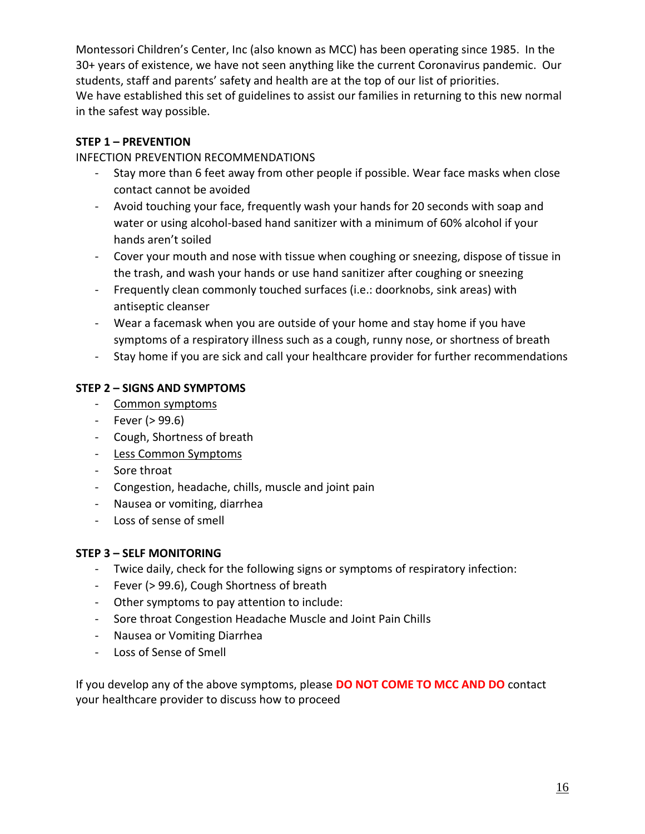Montessori Children's Center, Inc (also known as MCC) has been operating since 1985. In the 30+ years of existence, we have not seen anything like the current Coronavirus pandemic. Our students, staff and parents' safety and health are at the top of our list of priorities. We have established this set of guidelines to assist our families in returning to this new normal in the safest way possible.

# **STEP 1 – PREVENTION**

INFECTION PREVENTION RECOMMENDATIONS

- Stay more than 6 feet away from other people if possible. Wear face masks when close contact cannot be avoided
- Avoid touching your face, frequently wash your hands for 20 seconds with soap and water or using alcohol-based hand sanitizer with a minimum of 60% alcohol if your hands aren't soiled
- Cover your mouth and nose with tissue when coughing or sneezing, dispose of tissue in the trash, and wash your hands or use hand sanitizer after coughing or sneezing
- Frequently clean commonly touched surfaces (i.e.: doorknobs, sink areas) with antiseptic cleanser
- Wear a facemask when you are outside of your home and stay home if you have symptoms of a respiratory illness such as a cough, runny nose, or shortness of breath
- Stay home if you are sick and call your healthcare provider for further recommendations

# **STEP 2 – SIGNS AND SYMPTOMS**

- Common symptoms
- Fever (> 99.6)
- Cough, Shortness of breath
- Less Common Symptoms
- Sore throat
- Congestion, headache, chills, muscle and joint pain
- Nausea or vomiting, diarrhea
- Loss of sense of smell

# **STEP 3 – SELF MONITORING**

- Twice daily, check for the following signs or symptoms of respiratory infection:
- Fever (> 99.6), Cough Shortness of breath
- Other symptoms to pay attention to include:
- Sore throat Congestion Headache Muscle and Joint Pain Chills
- Nausea or Vomiting Diarrhea
- Loss of Sense of Smell

If you develop any of the above symptoms, please **DO NOT COME TO MCC AND DO** contact your healthcare provider to discuss how to proceed